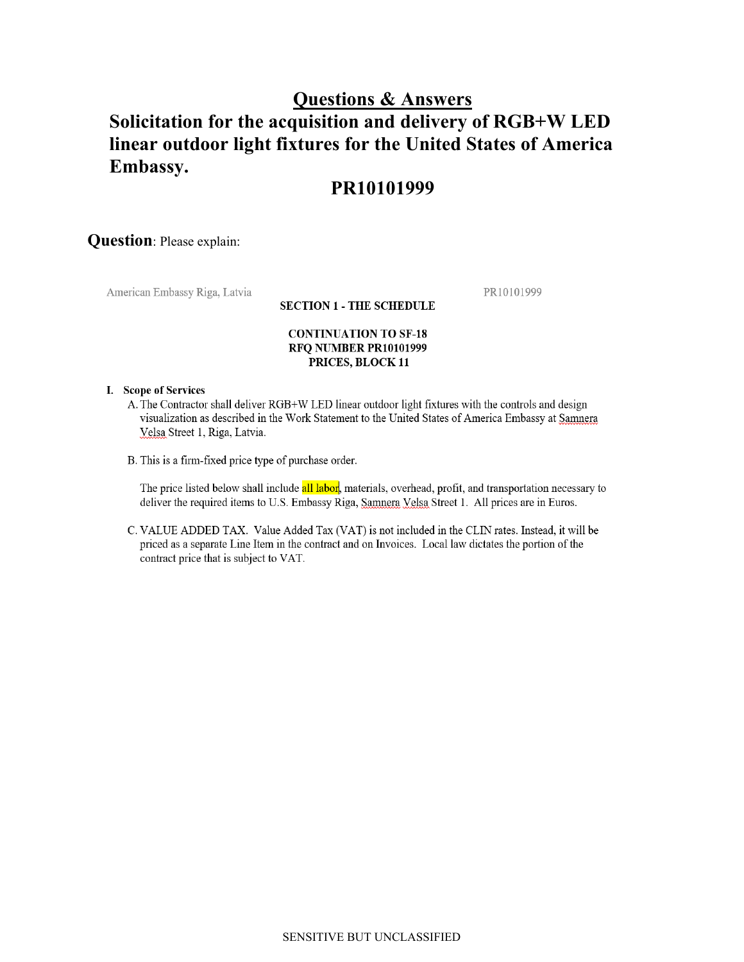# **Questions & Answers**

# **Solicitation for the acquisition and delivery of RGB+W LED linear outdoor light fixtures for the United States of America Embassy.**

## **PR10101999**

## **Question**: Please explain:

American Embassy Riga, Latvia

PR10101999

### **SECTION 1 - THE SCHEDULE**

### **CONTINUATION TO SF-18** RFQ NUMBER PR10101999 PRICES, BLOCK 11

#### I. Scope of Services

- A. The Contractor shall deliver RGB+W LED linear outdoor light fixtures with the controls and design visualization as described in the Work Statement to the United States of America Embassy at Samnera Velsa Street 1, Riga, Latvia.
- B. This is a firm-fixed price type of purchase order.

The price listed below shall include all labor, materials, overhead, profit, and transportation necessary to deliver the required items to U.S. Embassy Riga, Samnera Velsa Street 1. All prices are in Euros.

C. VALUE ADDED TAX. Value Added Tax (VAT) is not included in the CLIN rates. Instead, it will be priced as a separate Line Item in the contract and on Invoices. Local law dictates the portion of the contract price that is subject to VAT.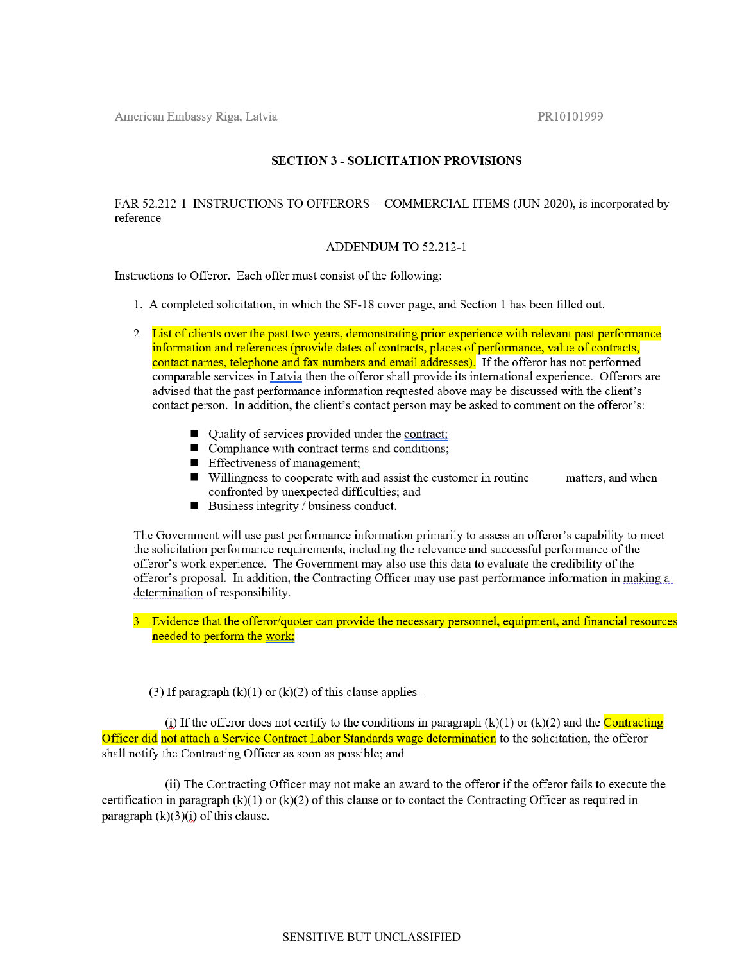American Embassy Riga, Latvia

PR10101999

## **SECTION 3 - SOLICITATION PROVISIONS**

## FAR 52.212-1 INSTRUCTIONS TO OFFERORS -- COMMERCIAL ITEMS (JUN 2020), is incorporated by reference

### ADDENDUM TO 52.212-1

Instructions to Offeror. Each offer must consist of the following:

- 1. A completed solicitation, in which the SF-18 cover page, and Section 1 has been filled out.
- 2 List of clients over the past two years, demonstrating prior experience with relevant past performance information and references (provide dates of contracts, places of performance, value of contracts, contact names, telephone and fax numbers and email addresses). If the offeror has not performed comparable services in Latvia then the offeror shall provide its international experience. Offerors are advised that the past performance information requested above may be discussed with the client's contact person. In addition, the client's contact person may be asked to comment on the offeror's:
	- Quality of services provided under the contract;
	- Compliance with contract terms and conditions;
	- Effectiveness of management;
	- $\blacksquare$  Willingness to cooperate with and assist the customer in routine matters, and when confronted by unexpected difficulties; and
	- $\blacksquare$  Business integrity / business conduct.

The Government will use past performance information primarily to assess an offeror's capability to meet the solicitation performance requirements, including the relevance and successful performance of the offeror's work experience. The Government may also use this data to evaluate the credibility of the offeror's proposal. In addition, the Contracting Officer may use past performance information in making a determination of responsibility.

3 Evidence that the offeror/quoter can provide the necessary personnel, equipment, and financial resources needed to perform the work:

(3) If paragraph  $(k)(1)$  or  $(k)(2)$  of this clause applies-

(i) If the offeror does not certify to the conditions in paragraph  $(k)(1)$  or  $(k)(2)$  and the **Contracting** Officer did not attach a Service Contract Labor Standards wage determination to the solicitation, the offeror shall notify the Contracting Officer as soon as possible; and

(ii) The Contracting Officer may not make an award to the offeror if the offeror fails to execute the certification in paragraph  $(k)(1)$  or  $(k)(2)$  of this clause or to contact the Contracting Officer as required in paragraph  $(k)(3)(i)$  of this clause.